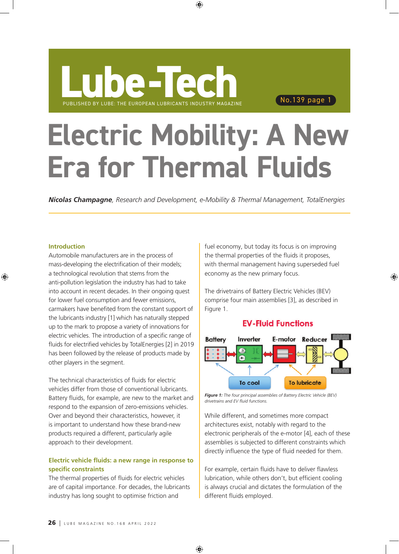# **Electric Mobility: A New Era for Thermal Fluids**

*Nicolas Champagne, Research and Development, e-Mobility & Thermal Management, TotalEnergies*

### **Introduction**

Automobile manufacturers are in the process of mass-developing the electrification of their models; a technological revolution that stems from the anti-pollution legislation the industry has had to take into account in recent decades. In their ongoing quest for lower fuel consumption and fewer emissions, carmakers have benefited from the constant support of the lubricants industry [1] which has naturally stepped up to the mark to propose a variety of innovations for electric vehicles. The introduction of a specific range of fluids for electrified vehicles by TotalEnergies [2] in 2019 has been followed by the release of products made by other players in the segment.

The technical characteristics of fluids for electric vehicles differ from those of conventional lubricants. Battery fluids, for example, are new to the market and respond to the expansion of zero-emissions vehicles. Over and beyond their characteristics, however, it is important to understand how these brand-new products required a different, particularly agile approach to their development.

## **Electric vehicle fluids: a new range in response to specific constraints**

The thermal properties of fluids for electric vehicles are of capital importance. For decades, the lubricants industry has long sought to optimise friction and

fuel economy, but today its focus is on improving the thermal properties of the fluids it proposes, with thermal management having superseded fuel economy as the new primary focus.

The drivetrains of Battery Electric Vehicles (BEV) comprise four main assemblies [3], as described in Figure 1.

## **EV-Fluid Functions**



*Figure 1: The four principal assemblies of Battery Electric Vehicle (BEV) drivetrains and EV fluid functions.*

While different, and sometimes more compact architectures exist, notably with regard to the electronic peripherals of the e-motor [4], each of these assemblies is subjected to different constraints which directly influence the type of fluid needed for them.

For example, certain fluids have to deliver flawless lubrication, while others don't, but efficient cooling is always crucial and dictates the formulation of the different fluids employed.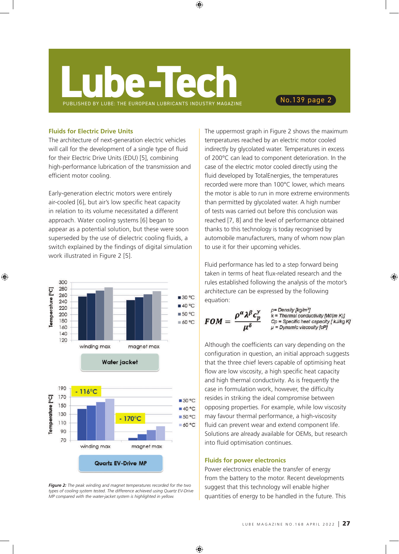### **Fluids for Electric Drive Units**

The architecture of next-generation electric vehicles will call for the development of a single type of fluid for their Electric Drive Units (EDU) [5], combining high-performance lubrication of the transmission and efficient motor cooling.

Early-generation electric motors were entirely air-cooled [6], but air's low specific heat capacity in relation to its volume necessitated a different approach. Water cooling systems [6] began to appear as a potential solution, but these were soon superseded by the use of dielectric cooling fluids, a switch explained by the findings of digital simulation work illustrated in Figure 2 [5].



*Figure 2: The peak winding and magnet temperatures recorded for the two types of cooling system tested. The difference achieved using Quartz EV-Drive MP compared with the water-jacket system is highlighted in yellow.*

The uppermost graph in Figure 2 shows the maximum temperatures reached by an electric motor cooled indirectly by glycolated water. Temperatures in excess of 200°C can lead to component deterioration. In the case of the electric motor cooled directly using the fluid developed by TotalEnergies, the temperatures recorded were more than 100°C lower, which means the motor is able to run in more extreme environments than permitted by glycolated water. A high number of tests was carried out before this conclusion was reached [7, 8] and the level of performance obtained thanks to this technology is today recognised by automobile manufacturers, many of whom now plan to use it for their upcoming vehicles.

Fluid performance has led to a step forward being taken in terms of heat flux-related research and the rules established following the analysis of the motor's architecture can be expressed by the following equation:

FOM =  $\frac{\rho^{\alpha} \lambda^{\beta} c_p^{\gamma}}{\mu^{\delta}}$ 

 $\rho$ = Density [kg/m<sup>3</sup>]  $k =$  Thermal conductivity [W/(m K)]  $Cp$  = Specific heat capacity [  $kJ/kg KJ$ ]  $\mu$  = Dynamic viscosity [cP]

Although the coefficients can vary depending on the configuration in question, an initial approach suggests that the three chief levers capable of optimising heat flow are low viscosity, a high specific heat capacity and high thermal conductivity. As is frequently the case in formulation work, however, the difficulty resides in striking the ideal compromise between opposing properties. For example, while low viscosity may favour thermal performance, a high-viscosity fluid can prevent wear and extend component life. Solutions are already available for OEMs, but research into fluid optimisation continues.

#### **Fluids for power electronics**

Power electronics enable the transfer of energy from the battery to the motor. Recent developments suggest that this technology will enable higher quantities of energy to be handled in the future. This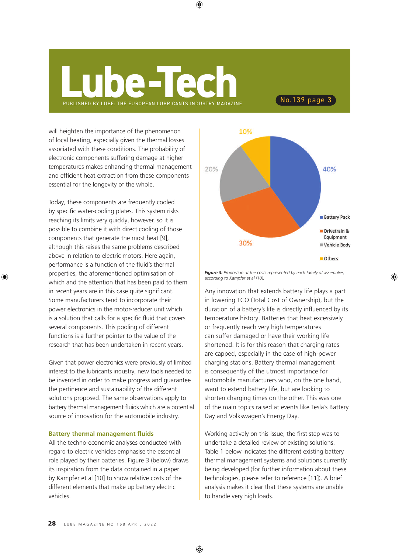will heighten the importance of the phenomenon of local heating, especially given the thermal losses associated with these conditions. The probability of electronic components suffering damage at higher temperatures makes enhancing thermal management and efficient heat extraction from these components essential for the longevity of the whole.

Today, these components are frequently cooled by specific water-cooling plates. This system risks reaching its limits very quickly, however, so it is possible to combine it with direct cooling of those components that generate the most heat [9], although this raises the same problems described above in relation to electric motors. Here again, performance is a function of the fluid's thermal properties, the aforementioned optimisation of which and the attention that has been paid to them in recent years are in this case quite significant. Some manufacturers tend to incorporate their power electronics in the motor-reducer unit which is a solution that calls for a specific fluid that covers several components. This pooling of different functions is a further pointer to the value of the research that has been undertaken in recent years.

Given that power electronics were previously of limited interest to the lubricants industry, new tools needed to be invented in order to make progress and guarantee the pertinence and sustainability of the different solutions proposed. The same observations apply to battery thermal management fluids which are a potential source of innovation for the automobile industry.

#### **Battery thermal management fluids**

All the techno-economic analyses conducted with regard to electric vehicles emphasise the essential role played by their batteries. Figure 3 (below) draws its inspiration from the data contained in a paper by Kampfer et al [10] to show relative costs of the different elements that make up battery electric vehicles.



*Figure 3: Proportion of the costs represented by each family of assemblies, according to Kampfer et al [10].*

Any innovation that extends battery life plays a part in lowering TCO (Total Cost of Ownership), but the duration of a battery's life is directly influenced by its temperature history. Batteries that heat excessively or frequently reach very high temperatures can suffer damaged or have their working life shortened. It is for this reason that charging rates are capped, especially in the case of high-power charging stations. Battery thermal management is consequently of the utmost importance for automobile manufacturers who, on the one hand, want to extend battery life, but are looking to shorten charging times on the other. This was one of the main topics raised at events like Tesla's Battery Day and Volkswagen's Energy Day.

Working actively on this issue, the first step was to undertake a detailed review of existing solutions. Table 1 below indicates the different existing battery thermal management systems and solutions currently being developed (for further information about these technologies, please refer to reference [11]). A brief analysis makes it clear that these systems are unable to handle very high loads.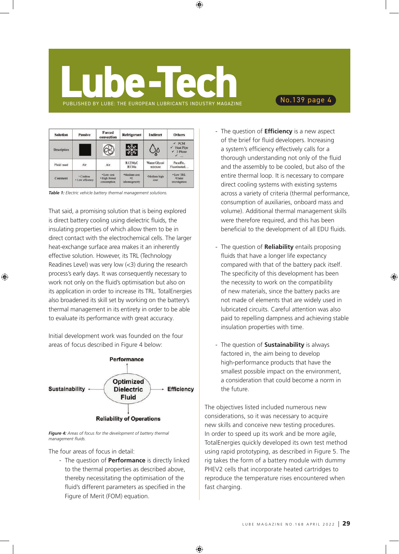| <b>Solution</b> | Passive                        | <b>Forced</b><br>convection               | <b>Refrigerant</b>                   | Indirect                    | <b>Others</b>                                                |
|-----------------|--------------------------------|-------------------------------------------|--------------------------------------|-----------------------------|--------------------------------------------------------------|
| Description     |                                |                                           |                                      | ٥ç                          | $\times$ PCM<br>v.<br>Heat Pipe<br>$2$ Phase<br>$\checkmark$ |
| Fluid used      | Air                            | Air                                       | R1234yf,<br>R134a                    | Water/Glycol<br>mixture     | Paraffin.<br>Fluorinated                                     |
| Comment         | · Costless<br>· Low efficency. | · Low cost<br>· High Power<br>consumption | ·Medium cost<br>×T.<br>inbomogeneity | *Medium/high<br><b>COME</b> | . Low TRL<br>·Under<br>myestigation                          |

*Table 1: Electric vehicle battery thermal management solutions.*

That said, a promising solution that is being explored is direct battery cooling using dielectric fluids, the insulating properties of which allow them to be in direct contact with the electrochemical cells. The larger heat-exchange surface area makes it an inherently effective solution. However, its TRL (Technology Readines Level) was very low  $\left\langle \langle 3 \rangle \right\rangle$  during the research process's early days. It was consequently necessary to work not only on the fluid's optimisation but also on its application in order to increase its TRL. TotalEnergies also broadened its skill set by working on the battery's thermal management in its entirety in order to be able to evaluate its performance with great accuracy.

Initial development work was founded on the four areas of focus described in Figure 4 below:



*Figure 4: Areas of focus for the development of battery thermal management fluids.*

The four areas of focus in detail:

- The question of **Performance** is directly linked to the thermal properties as described above, thereby necessitating the optimisation of the fluid's different parameters as specified in the Figure of Merit (FOM) equation.

- The question of **Efficiency** is a new aspect of the brief for fluid developers. Increasing a system's efficiency effectively calls for a thorough understanding not only of the fluid and the assembly to be cooled, but also of the entire thermal loop. It is necessary to compare direct cooling systems with existing systems across a variety of criteria (thermal performance, consumption of auxiliaries, onboard mass and volume). Additional thermal management skills were therefore required, and this has been beneficial to the development of all EDU fluids.
- The question of **Reliability** entails proposing fluids that have a longer life expectancy compared with that of the battery pack itself. The specificity of this development has been the necessity to work on the compatibility of new materials, since the battery packs are not made of elements that are widely used in lubricated circuits. Careful attention was also paid to repelling dampness and achieving stable insulation properties with time.
- The question of **Sustainability** is always factored in, the aim being to develop high-performance products that have the smallest possible impact on the environment, a consideration that could become a norm in the future.

The objectives listed included numerous new considerations, so it was necessary to acquire new skills and conceive new testing procedures. In order to speed up its work and be more agile, TotalEnergies quickly developed its own test method using rapid prototyping, as described in Figure 5. The rig takes the form of a battery module with dummy PHEV2 cells that incorporate heated cartridges to reproduce the temperature rises encountered when fast charging.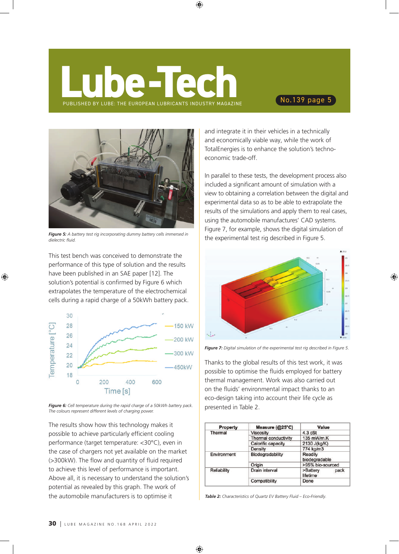

*Figure 5: A battery test rig incorporating dummy battery cells immersed in dielectric fluid.*

This test bench was conceived to demonstrate the performance of this type of solution and the results have been published in an SAE paper [12]. The solution's potential is confirmed by Figure 6 which extrapolates the temperature of the electrochemical cells during a rapid charge of a 50kWh battery pack.



*Figure 6: Cell temperature during the rapid charge of a 50kWh battery pack. The colours represent different levels of charging power.*

The results show how this technology makes it possible to achieve particularly efficient cooling performance (target temperature: <30°C), even in the case of chargers not yet available on the market (>300kW). The flow and quantity of fluid required to achieve this level of performance is important. Above all, it is necessary to understand the solution's potential as revealed by this graph. The work of the automobile manufacturers is to optimise it

and integrate it in their vehicles in a technically and economically viable way, while the work of TotalEnergies is to enhance the solution's technoeconomic trade-off.

In parallel to these tests, the development process also included a significant amount of simulation with a view to obtaining a correlation between the digital and experimental data so as to be able to extrapolate the results of the simulations and apply them to real cases, using the automobile manufactures' CAD systems. Figure 7, for example, shows the digital simulation of the experimental test rig described in Figure 5.



*Figure 7: Digital simulation of the experimental test rig described in Figure 5.*

Thanks to the global results of this test work, it was possible to optimise the fluids employed for battery thermal management. Work was also carried out on the fluids' environmental impact thanks to an eco-design taking into account their life cycle as presented in Table 2.

| <b>Property</b>    | Measure (@25°C)             | Value                        |  |
|--------------------|-----------------------------|------------------------------|--|
| Thermal            | <b>Viscosity</b>            | 4.3 cSt                      |  |
|                    | <b>Thermal conductivity</b> | 135 mW/m.K                   |  |
|                    | Calorific capacity          | 2130 J(kg/K)                 |  |
|                    | Density                     | 774 kg/m3                    |  |
| Environment        | Biodegradability            | Readily<br>biodegradable     |  |
|                    | Origin                      | >95% bio-sourced             |  |
| <b>Reliability</b> | Drain interval              | >Battery<br>pack<br>lifetime |  |
|                    | Compatibility               | Done                         |  |

*Table 2: Characteristics of Quartz EV Battery Fluid – Eco-Friendly.*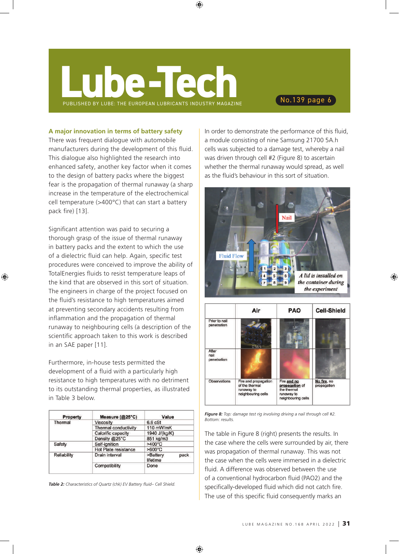### **A major innovation in terms of battery safety**

There was frequent dialogue with automobile manufacturers during the development of this fluid. This dialogue also highlighted the research into enhanced safety, another key factor when it comes to the design of battery packs where the biggest fear is the propagation of thermal runaway (a sharp increase in the temperature of the electrochemical cell temperature (>400°C) that can start a battery pack fire) [13].

Significant attention was paid to securing a thorough grasp of the issue of thermal runaway in battery packs and the extent to which the use of a dielectric fluid can help. Again, specific test procedures were conceived to improve the ability of TotalEnergies fluids to resist temperature leaps of the kind that are observed in this sort of situation. The engineers in charge of the project focused on the fluid's resistance to high temperatures aimed at preventing secondary accidents resulting from inflammation and the propagation of thermal runaway to neighbouring cells (a description of the scientific approach taken to this work is described in an SAE paper [11].

Furthermore, in-house tests permitted the development of a fluid with a particularly high resistance to high temperatures with no detriment to its outstanding thermal properties, as illustrated in Table 3 below.

| <b>Property</b> | Measure (@25°C)             | Value                        |  |
|-----------------|-----------------------------|------------------------------|--|
| Thermal         | <b>Viscosity</b>            | $6.6$ $cSt$                  |  |
|                 | <b>Thermal conductivity</b> | 110 mW/mK                    |  |
|                 | Calorific capacity          | 1940 J/(kg/K)                |  |
|                 | Density @25°C               | 851 kg/m3                    |  |
| Safety          | Self-ignition               | $>400^{\circ}$ C             |  |
|                 | <b>Hot Plate resistance</b> | $>600^{\circ}$ C             |  |
| Reliability     | Drain interval              | >Battery<br>pack<br>lifetime |  |
|                 | Compatibility               | Done                         |  |

*Table 2: Characteristics of Quartz (chk) EV Battery fluid– Cell Shield.*

In order to demonstrate the performance of this fluid, a module consisting of nine Samsung 21700 5A.h cells was subjected to a damage test, whereby a nail was driven through cell #2 (Figure 8) to ascertain whether the thermal runaway would spread, as well as the fluid's behaviour in this sort of situation.





*Figure 8: Top: damage test rig involving driving a nail through cell #2. Bottom: results.*

The table in Figure 8 (right) presents the results. In the case where the cells were surrounded by air, there was propagation of thermal runaway. This was not the case when the cells were immersed in a dielectric fluid. A difference was observed between the use of a conventional hydrocarbon fluid (PAO2) and the specifically-developed fluid which did not catch fire. The use of this specific fluid consequently marks an